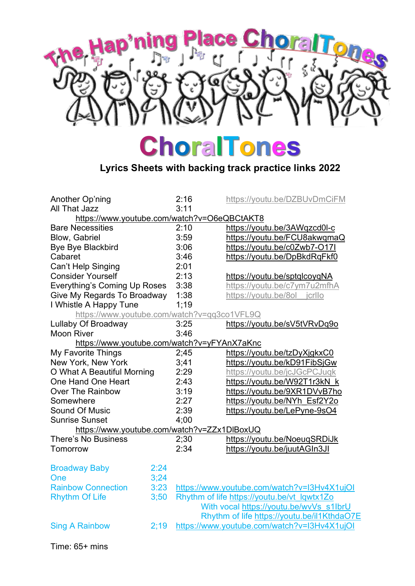

**ChoralTones**

# **Lyrics Sheets with backing track practice links 2022**

| Another Op'ning<br>All That Jazz            |      | 2:16<br>3:11 | https://youtu.be/DZBUvDmCiFM                |
|---------------------------------------------|------|--------------|---------------------------------------------|
| https://www.youtube.com/watch?v=O6eQBCtAKT8 |      |              |                                             |
| <b>Bare Necessities</b>                     |      | 2:10         | https://youtu.be/3AWqzcd0l-c                |
| Blow, Gabriel                               |      | 3:59         | https://youtu.be/FCU8akwqmaQ                |
| <b>Bye Bye Blackbird</b>                    |      | 3:06         | https://youtu.be/c0Zwb7-O17I                |
| Cabaret                                     |      | 3:46         | https://youtu.be/DpBkdRqFkf0                |
| Can't Help Singing                          |      | 2:01         |                                             |
| <b>Consider Yourself</b>                    |      | 2:13         | https://youtu.be/sptqlcoyqNA                |
| Everything's Coming Up Roses                |      | 3:38         | https://youtu.be/c7ym7u2mfhA                |
| Give My Regards To Broadway                 |      | 1:38         | https://youtu.be/8ol<br>icrllo              |
| I Whistle A Happy Tune                      |      | 1:19         |                                             |
| https://www.youtube.com/watch?v=qq3co1VFL9Q |      |              |                                             |
| Lullaby Of Broadway                         |      | 3:25         | https://youtu.be/sV5tVRvDq9o                |
| <b>Moon River</b>                           |      | 3:46         |                                             |
| https://www.youtube.com/watch?v=yFYAnX7aKnc |      |              |                                             |
| My Favorite Things                          |      | 2;45         | https://youtu.be/tzDyXjgkxC0                |
| New York, New York                          |      | 3;41         | https://youtu.be/kD91FibSjGw                |
| O What A Beautiful Morning                  |      | 2:29         | https://youtu.be/jcJGcPCJuqk                |
| One Hand One Heart                          |      | 2:43         | https://youtu.be/W92T1r3kN k                |
| <b>Over The Rainbow</b>                     |      | 3:19         | https://youtu.be/9XR1DVvB7ho                |
| Somewhere                                   |      | 2:27         | https://youtu.be/NYh Esf2Y2o                |
| Sound Of Music                              |      | 2:39         | https://youtu.be/LePyne-9sO4                |
| <b>Sunrise Sunset</b>                       |      | 4;00         |                                             |
| https://www.youtube.com/watch?v=ZZx1DIBoxUQ |      |              |                                             |
| <b>There's No Business</b>                  |      | 2:30         | https://youtu.be/NoeugSRDiJk                |
| Tomorrow                                    |      | 2:34         | https://youtu.be/juutAGIn3JI                |
|                                             |      |              |                                             |
| <b>Broadway Baby</b>                        | 2:24 |              |                                             |
| One                                         | 3:24 |              |                                             |
| <b>Rainbow Connection</b>                   | 3:23 |              | https://www.youtube.com/watch?v=I3Hv4X1ujOI |
| <b>Rhythm Of Life</b>                       | 3;50 |              | Rhythm of life https://youtu.be/vt lqwtx1Zo |
|                                             |      |              | With vocal https://youtu.be/wvVs s1lbrU     |
|                                             |      |              | Rhythm of life https://youtu.be/il1KthdaO7E |
| <b>Sing A Rainbow</b>                       | 2:19 |              | https://www.youtube.com/watch?v=I3Hv4X1ujOI |

Time: 65+ mins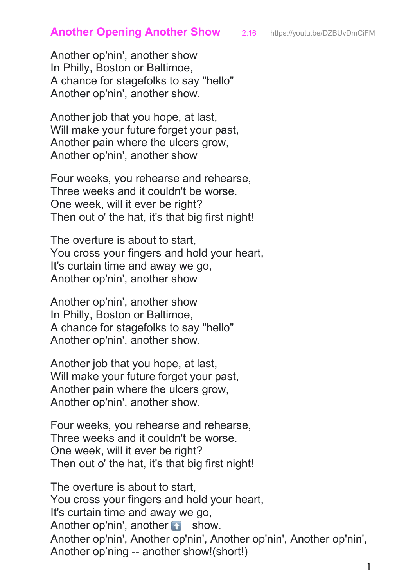## **Another Opening Another Show** 2:16 https://youtu.be/DZBUvDmCiFM

Another op'nin', another show In Philly, Boston or Baltimoe, A chance for stagefolks to say "hello" Another op'nin', another show.

Another job that you hope, at last, Will make your future forget your past, Another pain where the ulcers grow, Another op'nin', another show

Four weeks, you rehearse and rehearse, Three weeks and it couldn't be worse. One week, will it ever be right? Then out o' the hat, it's that big first night!

The overture is about to start, You cross your fingers and hold your heart, It's curtain time and away we go, Another op'nin', another show

Another op'nin', another show In Philly, Boston or Baltimoe, A chance for stagefolks to say "hello" Another op'nin', another show.

Another job that you hope, at last, Will make your future forget your past, Another pain where the ulcers grow, Another op'nin', another show.

Four weeks, you rehearse and rehearse, Three weeks and it couldn't be worse. One week, will it ever be right? Then out o' the hat, it's that big first night!

The overture is about to start, You cross your fingers and hold your heart, It's curtain time and away we go, Another op'nin', another show. Another op'nin', Another op'nin', Another op'nin', Another op'nin', Another op'ning -- another show!(short!)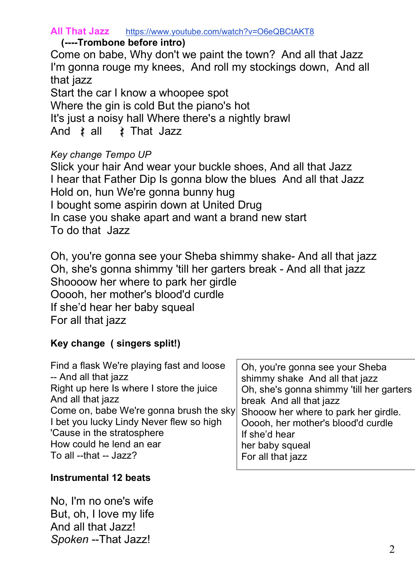#### **All That Jazz** https://www.youtube.com/watch?v=O6eQBCtAKT8

#### **(----Trombone before intro)**

Come on babe, Why don't we paint the town? And all that Jazz I'm gonna rouge my knees, And roll my stockings down, And all that jazz

Start the car I know a whoopee spot Where the gin is cold But the piano's hot It's just a noisy hall Where there's a nightly brawl And  $\uparrow$  all  $\uparrow$  That Jazz

## *Key change Tempo UP*

Slick your hair And wear your buckle shoes, And all that Jazz I hear that Father Dip Is gonna blow the blues And all that Jazz Hold on, hun We're gonna bunny hug I bought some aspirin down at United Drug In case you shake apart and want a brand new start To do that Jazz

Oh, you're gonna see your Sheba shimmy shake- And all that jazz Oh, she's gonna shimmy 'till her garters break - And all that jazz Shoooow her where to park her girdle Ooooh, her mother's blood'd curdle If she'd hear her baby squeal For all that jazz

## **Key change ( singers split!)**

Find a flask We're playing fast and loose -- And all that jazz Right up here Is where I store the juice And all that jazz Come on, babe We're gonna brush the sky I bet you lucky Lindy Never flew so high 'Cause in the stratosphere How could he lend an ear To all --that -- Jazz?

### **Instrumental 12 beats**

No, I'm no one's wife But, oh, I love my life And all that Jazz! *Spoken* --That Jazz!

Oh, you're gonna see your Sheba shimmy shake And all that jazz Oh, she's gonna shimmy 'till her garters break And all that jazz Shooow her where to park her girdle. Ooooh, her mother's blood'd curdle If she'd hear her baby squeal For all that jazz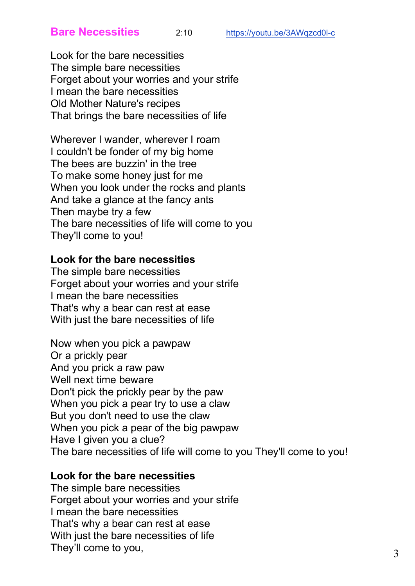Look for the bare necessities The simple bare necessities Forget about your worries and your strife I mean the bare necessities Old Mother Nature's recipes That brings the bare necessities of life

Wherever I wander, wherever I roam I couldn't be fonder of my big home The bees are buzzin' in the tree To make some honey just for me When you look under the rocks and plants And take a glance at the fancy ants Then maybe try a few The bare necessities of life will come to you They'll come to you!

### **Look for the bare necessities**

The simple bare necessities Forget about your worries and your strife I mean the bare necessities That's why a bear can rest at ease With just the bare necessities of life

Now when you pick a pawpaw Or a prickly pear And you prick a raw paw Well next time beware Don't pick the prickly pear by the paw When you pick a pear try to use a claw But you don't need to use the claw When you pick a pear of the big pawpaw Have I given you a clue? The bare necessities of life will come to you They'll come to you!

### **Look for the bare necessities**

The simple bare necessities Forget about your worries and your strife I mean the bare necessities That's why a bear can rest at ease With just the bare necessities of life They'll come to you,  $3<sup>3</sup>$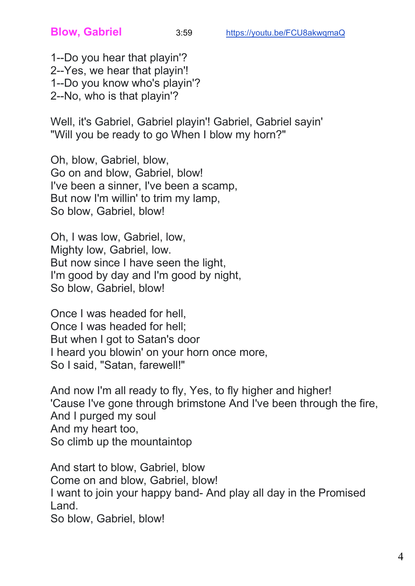1--Do you hear that playin'? 2--Yes, we hear that playin'! 1--Do you know who's playin'? 2--No, who is that playin'?

Well, it's Gabriel, Gabriel playin'! Gabriel, Gabriel sayin' "Will you be ready to go When I blow my horn?"

Oh, blow, Gabriel, blow, Go on and blow, Gabriel, blow! I've been a sinner, I've been a scamp, But now I'm willin' to trim my lamp, So blow, Gabriel, blow!

Oh, I was low, Gabriel, low, Mighty low, Gabriel, low. But now since I have seen the light, I'm good by day and I'm good by night, So blow, Gabriel, blow!

Once I was headed for hell, Once I was headed for hell; But when I got to Satan's door I heard you blowin' on your horn once more, So I said, "Satan, farewell!"

And now I'm all ready to fly, Yes, to fly higher and higher! 'Cause I've gone through brimstone And I've been through the fire, And I purged my soul And my heart too, So climb up the mountaintop

And start to blow, Gabriel, blow Come on and blow, Gabriel, blow! I want to join your happy band- And play all day in the Promised Land.

So blow, Gabriel, blow!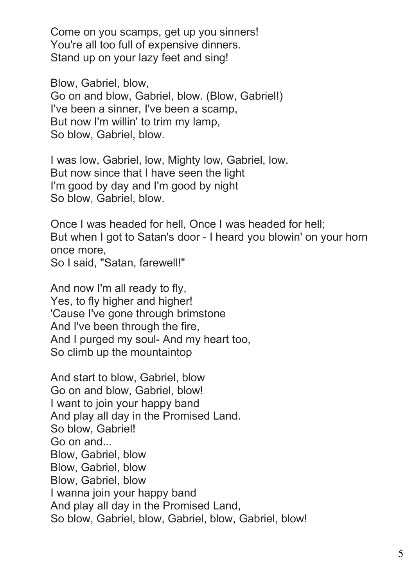Come on you scamps, get up you sinners! You're all too full of expensive dinners. Stand up on your lazy feet and sing!

Blow, Gabriel, blow, Go on and blow, Gabriel, blow. (Blow, Gabriel!) I've been a sinner, I've been a scamp, But now I'm willin' to trim my lamp, So blow, Gabriel, blow.

I was low, Gabriel, low, Mighty low, Gabriel, low. But now since that I have seen the light I'm good by day and I'm good by night So blow, Gabriel, blow.

Once I was headed for hell, Once I was headed for hell; But when I got to Satan's door - I heard you blowin' on your horn once more, So I said, "Satan, farewell!"

And now I'm all ready to fly, Yes, to fly higher and higher! 'Cause I've gone through brimstone And I've been through the fire, And I purged my soul- And my heart too, So climb up the mountaintop

And start to blow, Gabriel, blow Go on and blow, Gabriel, blow! I want to join your happy band And play all day in the Promised Land. So blow, Gabriel! Go on and... Blow, Gabriel, blow Blow, Gabriel, blow Blow, Gabriel, blow I wanna join your happy band And play all day in the Promised Land, So blow, Gabriel, blow, Gabriel, blow, Gabriel, blow!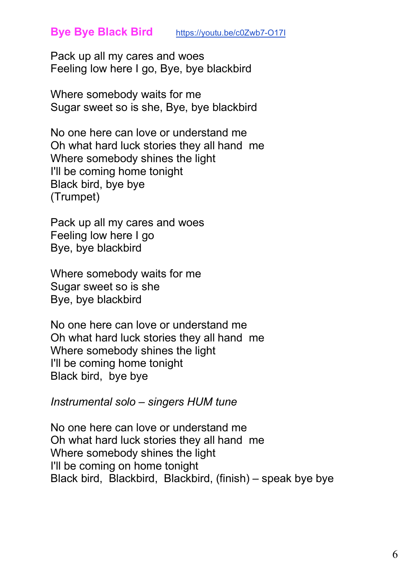## **Bye Bye Black Bird** https://youtu.be/c0Zwb7-O17I

Pack up all my cares and woes Feeling low here I go, Bye, bye blackbird

Where somebody waits for me Sugar sweet so is she, Bye, bye blackbird

No one here can love or understand me Oh what hard luck stories they all hand me Where somebody shines the light I'll be coming home tonight Black bird, bye bye (Trumpet)

Pack up all my cares and woes Feeling low here I go Bye, bye blackbird

Where somebody waits for me Sugar sweet so is she Bye, bye blackbird

No one here can love or understand me Oh what hard luck stories they all hand me Where somebody shines the light I'll be coming home tonight Black bird, bye bye

*Instrumental solo – singers HUM tune*

No one here can love or understand me Oh what hard luck stories they all hand me Where somebody shines the light I'll be coming on home tonight Black bird, Blackbird, Blackbird, (finish) – speak bye bye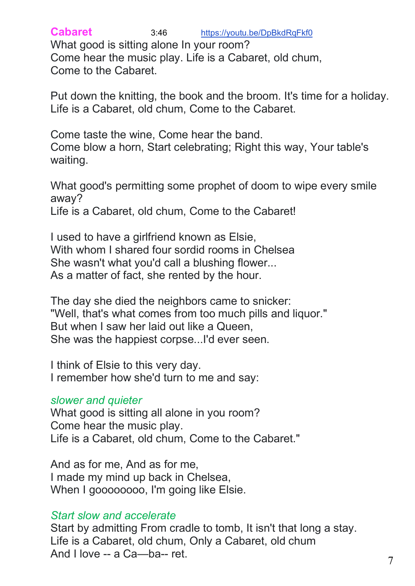**Cabaret** 3:46 https://youtu.be/DpBkdRqFkf0 What good is sitting alone In your room? Come hear the music play. Life is a Cabaret, old chum, Come to the Cabaret.

Put down the knitting, the book and the broom. It's time for a holiday. Life is a Cabaret, old chum, Come to the Cabaret.

Come taste the wine, Come hear the band. Come blow a horn, Start celebrating; Right this way, Your table's waiting.

What good's permitting some prophet of doom to wipe every smile away? Life is a Cabaret, old chum, Come to the Cabaret!

I used to have a girlfriend known as Elsie, With whom I shared four sordid rooms in Chelsea She wasn't what you'd call a blushing flower... As a matter of fact, she rented by the hour.

The day she died the neighbors came to snicker: "Well, that's what comes from too much pills and liquor." But when I saw her laid out like a Queen, She was the happiest corpse...I'd ever seen.

I think of Elsie to this very day. I remember how she'd turn to me and say:

## *slower and quieter*

What good is sitting all alone in you room? Come hear the music play. Life is a Cabaret, old chum, Come to the Cabaret."

And as for me, And as for me, I made my mind up back in Chelsea, When I goooooooo, I'm going like Elsie.

### *Start slow and accelerate*

Start by admitting From cradle to tomb, It isn't that long a stay. Life is a Cabaret, old chum, Only a Cabaret, old chum And I love -- a Ca—ba-- ret. 7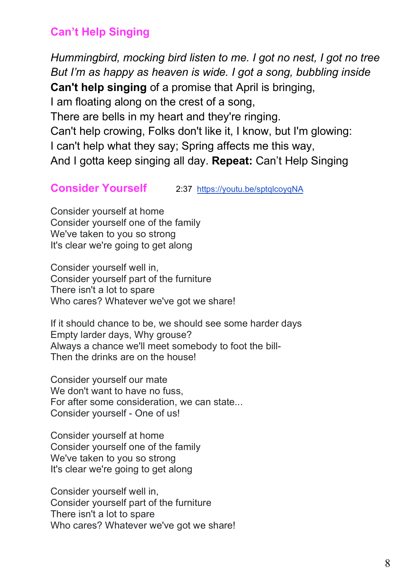# **Can't Help Singing**

*Hummingbird, mocking bird listen to me. I got no nest, I got no tree But I'm as happy as heaven is wide. I got a song, bubbling inside* **Can't help singing** of a promise that April is bringing, I am floating along on the crest of a song, There are bells in my heart and they're ringing. Can't help crowing, Folks don't like it, I know, but I'm glowing: I can't help what they say; Spring affects me this way, And I gotta keep singing all day. **Repeat:** Can't Help Singing

**Consider Yourself** 2:37 https://youtu.be/sptqlcoyqNA

Consider yourself at home Consider yourself one of the family We've taken to you so strong It's clear we're going to get along

Consider yourself well in, Consider yourself part of the furniture There isn't a lot to spare Who cares? Whatever we've got we share!

If it should chance to be, we should see some harder days Empty larder days, Why grouse? Always a chance we'll meet somebody to foot the bill-Then the drinks are on the house!

Consider yourself our mate We don't want to have no fuss, For after some consideration, we can state... Consider yourself - One of us!

Consider yourself at home Consider yourself one of the family We've taken to you so strong It's clear we're going to get along

Consider yourself well in, Consider yourself part of the furniture There isn't a lot to spare Who cares? Whatever we've got we share!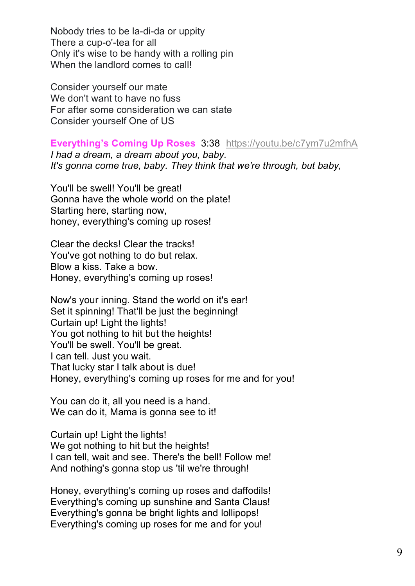Nobody tries to be la-di-da or uppity There a cup-o'-tea for all Only it's wise to be handy with a rolling pin When the landlord comes to call!

Consider yourself our mate We don't want to have no fuss For after some consideration we can state Consider yourself One of US

**Everything's Coming Up Roses** 3:38 https://youtu.be/c7ym7u2mfhA

*I had a dream, a dream about you, baby. It's gonna come true, baby. They think that we're through, but baby,*

You'll be swell! You'll be great! Gonna have the whole world on the plate! Starting here, starting now, honey, everything's coming up roses!

Clear the decks! Clear the tracks! You've got nothing to do but relax. Blow a kiss. Take a bow. Honey, everything's coming up roses!

Now's your inning. Stand the world on it's ear! Set it spinning! That'll be just the beginning! Curtain up! Light the lights! You got nothing to hit but the heights! You'll be swell. You'll be great. I can tell. Just you wait. That lucky star I talk about is due! Honey, everything's coming up roses for me and for you!

You can do it, all you need is a hand. We can do it, Mama is gonna see to it!

Curtain up! Light the lights! We got nothing to hit but the heights! I can tell, wait and see. There's the bell! Follow me! And nothing's gonna stop us 'til we're through!

Honey, everything's coming up roses and daffodils! Everything's coming up sunshine and Santa Claus! Everything's gonna be bright lights and lollipops! Everything's coming up roses for me and for you!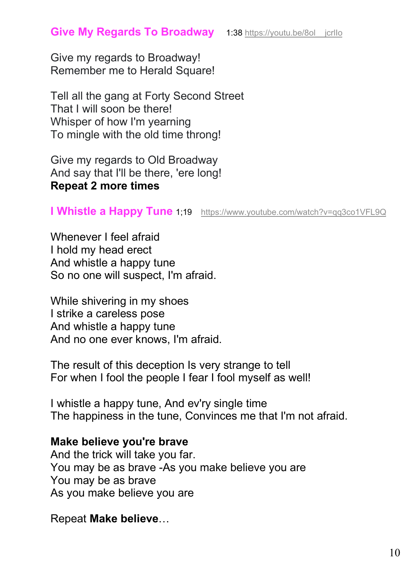# **Give My Regards To Broadway** 1:38 https://youtu.be/8ol *jcrllo*

Give my regards to Broadway! Remember me to Herald Square!

Tell all the gang at Forty Second Street That I will soon be there! Whisper of how I'm yearning To mingle with the old time throng!

Give my regards to Old Broadway And say that I'll be there, 'ere long! **Repeat 2 more times**

**I Whistle a Happy Tune** 1;19 https://www.youtube.com/watch?v=qq3co1VFL9Q

Whenever I feel afraid I hold my head erect And whistle a happy tune So no one will suspect, I'm afraid.

While shivering in my shoes I strike a careless pose And whistle a happy tune And no one ever knows, I'm afraid.

The result of this deception Is very strange to tell For when I fool the people I fear I fool myself as well!

I whistle a happy tune, And ev'ry single time The happiness in the tune, Convinces me that I'm not afraid.

## **Make believe you're brave**

And the trick will take you far. You may be as brave -As you make believe you are You may be as brave As you make believe you are

Repeat **Make believe**…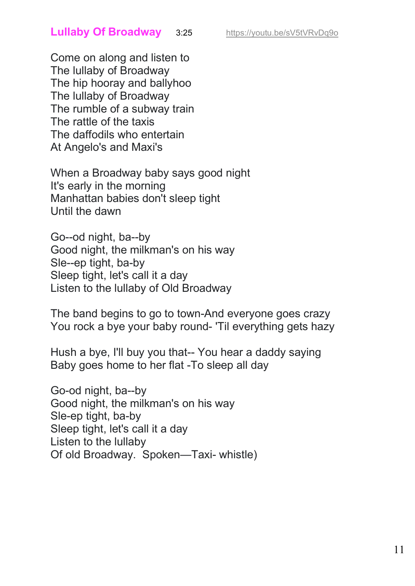Come on along and listen to The lullaby of Broadway The hip hooray and ballyhoo The lullaby of Broadway The rumble of a subway train The rattle of the taxis The daffodils who entertain At Angelo's and Maxi's

When a Broadway baby says good night It's early in the morning Manhattan babies don't sleep tight Until the dawn

Go--od night, ba--by Good night, the milkman's on his way Sle--ep tight, ba-by Sleep tight, let's call it a day Listen to the lullaby of Old Broadway

The band begins to go to town-And everyone goes crazy You rock a bye your baby round- 'Til everything gets hazy

Hush a bye, I'll buy you that-- You hear a daddy saying Baby goes home to her flat -To sleep all day

Go-od night, ba--by Good night, the milkman's on his way Sle-ep tight, ba-by Sleep tight, let's call it a day Listen to the lullaby Of old Broadway. Spoken—Taxi- whistle)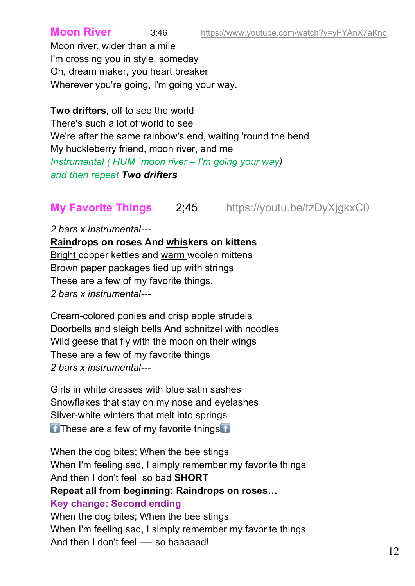Moon river, wider than a mile I'm crossing you in style, someday Oh, dream maker, you heart breaker Wherever you're going, I'm going your way.

**Two drifters,** off to see the world There's such a lot of world to see We're after the same rainbow's end, waiting 'round the bend My huckleberry friend, moon river, and me *Instrumental ( HUM `moon river – I'm going your way) and then repeat Two drifters*

# **My Favorite Things** 2;45 https://youtu.be/tzDyXjgkxC0

*2 bars x instrumental---*

**Raindrops on roses And whiskers on kittens** Bright copper kettles and warm woolen mittens Brown paper packages tied up with strings These are a few of my favorite things. *2 bars x instrumental---*

Cream-colored ponies and crisp apple strudels Doorbells and sleigh bells And schnitzel with noodles Wild geese that fly with the moon on their wings These are a few of my favorite things *2 bars x instrumental---*

Girls in white dresses with blue satin sashes Snowflakes that stay on my nose and eyelashes Silver-white winters that melt into springs **t** These are a few of my favorite things **t** 

When the dog bites; When the bee stings When I'm feeling sad, I simply remember my favorite things And then I don't feel so bad **SHORT Repeat all from beginning: Raindrops on roses… Key change: Second ending**  When the dog bites; When the bee stings When I'm feeling sad, I simply remember my favorite things

And then I don't feel ---- so baaaaad!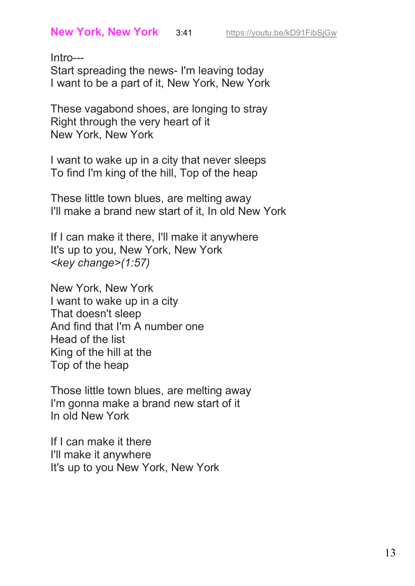Intro---

Start spreading the news- I'm leaving today I want to be a part of it, New York, New York

These vagabond shoes, are longing to stray Right through the very heart of it New York, New York

I want to wake up in a city that never sleeps To find I'm king of the hill, Top of the heap

These little town blues, are melting away I'll make a brand new start of it, In old New York

If I can make it there, I'll make it anywhere It's up to you, New York, New York *<key change>(1:57)*

New York, New York I want to wake up in a city That doesn't sleep And find that I'm A number one Head of the list King of the hill at the Top of the heap

Those little town blues, are melting away I'm gonna make a brand new start of it In old New York

If I can make it there I'll make it anywhere It's up to you New York, New York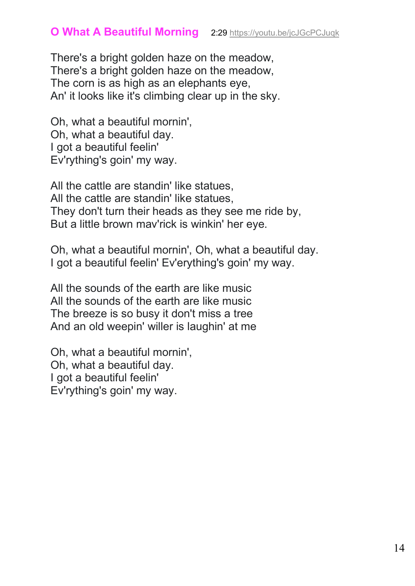There's a bright golden haze on the meadow, There's a bright golden haze on the meadow, The corn is as high as an elephants eye, An' it looks like it's climbing clear up in the sky.

Oh, what a beautiful mornin', Oh, what a beautiful day. I got a beautiful feelin' Ev'rything's goin' my way.

All the cattle are standin' like statues, All the cattle are standin' like statues, They don't turn their heads as they see me ride by, But a little brown mav'rick is winkin' her eye.

Oh, what a beautiful mornin', Oh, what a beautiful day. I got a beautiful feelin' Ev'erything's goin' my way.

All the sounds of the earth are like music All the sounds of the earth are like music The breeze is so busy it don't miss a tree And an old weepin' willer is laughin' at me

Oh, what a beautiful mornin', Oh, what a beautiful day. I got a beautiful feelin' Ev'rything's goin' my way.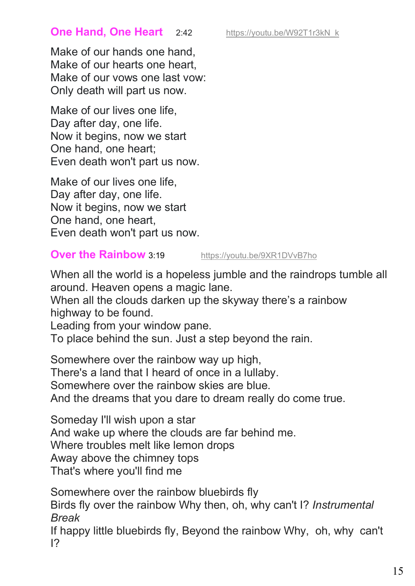Make of our hands one hand, Make of our hearts one heart, Make of our vows one last vow: Only death will part us now.

Make of our lives one life, Day after day, one life. Now it begins, now we start One hand, one heart; Even death won't part us now.

Make of our lives one life, Day after day, one life. Now it begins, now we start One hand, one heart, Even death won't part us now.

**Over the Rainbow** 3:19 https://youtu.be/9XR1DVvB7ho

When all the world is a hopeless jumble and the raindrops tumble all around. Heaven opens a magic lane.

When all the clouds darken up the skyway there's a rainbow highway to be found.

Leading from your window pane.

To place behind the sun. Just a step beyond the rain.

Somewhere over the rainbow way up high, There's a land that I heard of once in a lullaby. Somewhere over the rainbow skies are blue. And the dreams that you dare to dream really do come true.

Someday I'll wish upon a star And wake up where the clouds are far behind me. Where troubles melt like lemon drops Away above the chimney tops That's where you'll find me

Somewhere over the rainbow bluebirds fly

Birds fly over the rainbow Why then, oh, why can't I? *Instrumental Break*

If happy little bluebirds fly, Beyond the rainbow Why, oh, why can't I?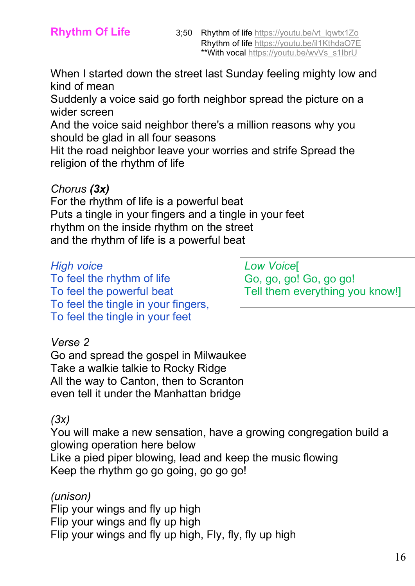When I started down the street last Sunday feeling mighty low and kind of mean

Suddenly a voice said go forth neighbor spread the picture on a wider screen

And the voice said neighbor there's a million reasons why you should be glad in all four seasons

Hit the road neighbor leave your worries and strife Spread the religion of the rhythm of life

# *Chorus (3x)*

For the rhythm of life is a powerful beat Puts a tingle in your fingers and a tingle in your feet rhythm on the inside rhythm on the street and the rhythm of life is a powerful beat

# *High voice*

To feel the rhythm of life To feel the powerful beat To feel the tingle in your fingers, To feel the tingle in your feet

*Low Voice*[

Go, go, go! Go, go go! Tell them everything you know!]

# *Verse 2*

Go and spread the gospel in Milwaukee Take a walkie talkie to Rocky Ridge All the way to Canton, then to Scranton even tell it under the Manhattan bridge

# *(3x)*

You will make a new sensation, have a growing congregation build a glowing operation here below Like a pied piper blowing, lead and keep the music flowing Keep the rhythm go go going, go go go!

*(unison)*  Flip your wings and fly up high Flip your wings and fly up high Flip your wings and fly up high, Fly, fly, fly up high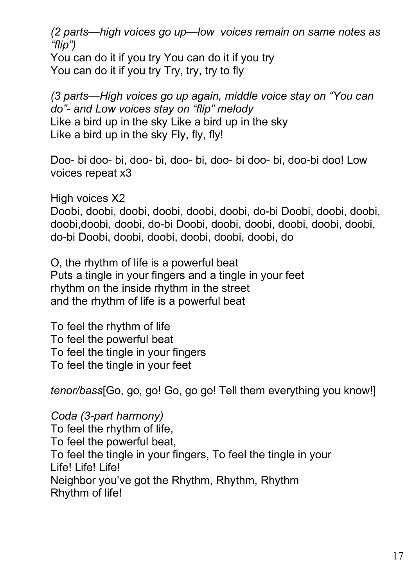*(2 parts—high voices go up—low voices remain on same notes as "flip")* 

You can do it if you try You can do it if you try You can do it if you try Try, try, try to fly

*(3 parts—High voices go up again, middle voice stay on "You can do"- and Low voices stay on "flip" melody*  Like a bird up in the sky Like a bird up in the sky Like a bird up in the sky Fly, fly, fly!

Doo- bi doo- bi, doo- bi, doo- bi, doo- bi doo- bi, doo-bi doo! Low voices repeat x3

High voices X2

Doobi, doobi, doobi, doobi, doobi, doobi, do-bi Doobi, doobi, doobi, doobi,doobi, doobi, do-bi Doobi, doobi, doobi, doobi, doobi, doobi, do-bi Doobi, doobi, doobi, doobi, doobi, doobi, do

O, the rhythm of life is a powerful beat Puts a tingle in your fingers and a tingle in your feet rhythm on the inside rhythm in the street and the rhythm of life is a powerful beat

To feel the rhythm of life To feel the powerful beat To feel the tingle in your fingers To feel the tingle in your feet

*tenor/bass*[Go, go, go! Go, go go! Tell them everything you know!]

*Coda (3-part harmony)*  To feel the rhythm of life, To feel the powerful beat, To feel the tingle in your fingers, To feel the tingle in your Life! Life! Life! Neighbor you've got the Rhythm, Rhythm, Rhythm Rhythm of life!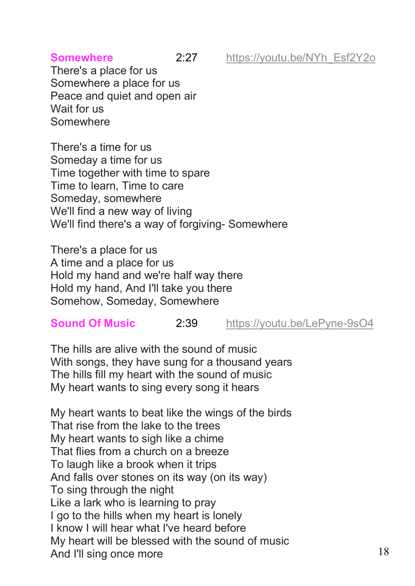**Somewhere** 2:27 https://youtu.be/NYh\_Esf2Y2o

There's a place for us Somewhere a place for us Peace and quiet and open air Wait for us Somewhere

There's a time for us Someday a time for us Time together with time to spare Time to learn, Time to care Someday, somewhere We'll find a new way of living We'll find there's a way of forgiving- Somewhere

There's a place for us A time and a place for us Hold my hand and we're half way there Hold my hand, And I'll take you there Somehow, Someday, Somewhere

# **Sound Of Music** 2:39 https://youtu.be/LePyne-9sO4

The hills are alive with the sound of music With songs, they have sung for a thousand years The hills fill my heart with the sound of music My heart wants to sing every song it hears

My heart wants to beat like the wings of the birds That rise from the lake to the trees My heart wants to sigh like a chime That flies from a church on a breeze To laugh like a brook when it trips And falls over stones on its way (on its way) To sing through the night Like a lark who is learning to pray I go to the hills when my heart is lonely I know I will hear what I've heard before My heart will be blessed with the sound of music And I'll sing once more 18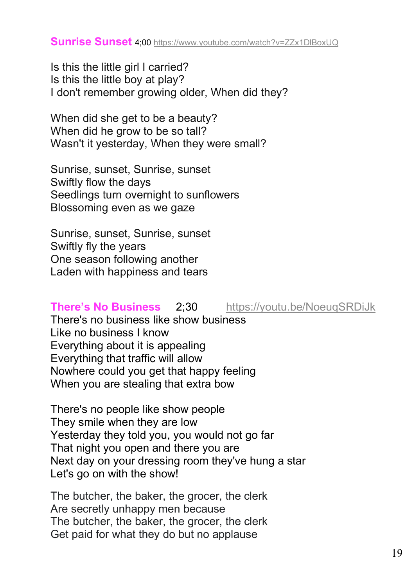### **Sunrise Sunset** 4;00 https://www.youtube.com/watch?v=ZZx1DlBoxUQ

Is this the little girl I carried? Is this the little boy at play? I don't remember growing older, When did they?

When did she get to be a beauty? When did he grow to be so tall? Wasn't it yesterday, When they were small?

Sunrise, sunset, Sunrise, sunset Swiftly flow the days Seedlings turn overnight to sunflowers Blossoming even as we gaze

Sunrise, sunset, Sunrise, sunset Swiftly fly the years One season following another Laden with happiness and tears

### **There's No Business** 2;30 https://youtu.be/NoeuqSRDiJk

There's no business like show business Like no business I know Everything about it is appealing Everything that traffic will allow Nowhere could you get that happy feeling When you are stealing that extra bow

There's no people like show people They smile when they are low Yesterday they told you, you would not go far That night you open and there you are Next day on your dressing room they've hung a star Let's go on with the show!

The butcher, the baker, the grocer, the clerk Are secretly unhappy men because The butcher, the baker, the grocer, the clerk Get paid for what they do but no applause